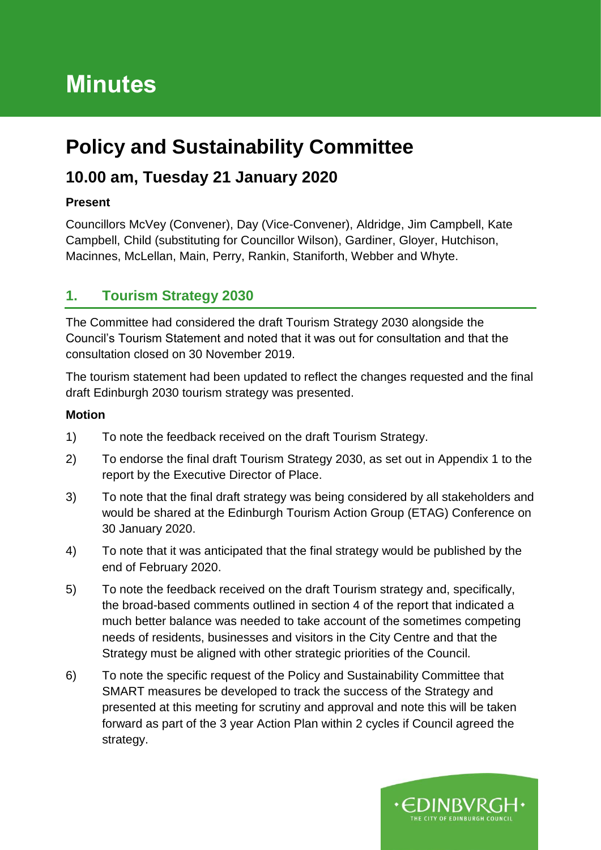# **Minutes**

## **Policy and Sustainability Committee**

### **10.00 am, Tuesday 21 January 2020**

#### **Present**

Councillors McVey (Convener), Day (Vice-Convener), Aldridge, Jim Campbell, Kate Campbell, Child (substituting for Councillor Wilson), Gardiner, Gloyer, Hutchison, Macinnes, McLellan, Main, Perry, Rankin, Staniforth, Webber and Whyte.

#### **1. Tourism Strategy 2030**

The Committee had considered the draft Tourism Strategy 2030 alongside the Council's Tourism Statement and noted that it was out for consultation and that the consultation closed on 30 November 2019.

The tourism statement had been updated to reflect the changes requested and the final draft Edinburgh 2030 tourism strategy was presented.

#### **Motion**

- 1) To note the feedback received on the draft Tourism Strategy.
- 2) To endorse the final draft Tourism Strategy 2030, as set out in Appendix 1 to the report by the Executive Director of Place.
- 3) To note that the final draft strategy was being considered by all stakeholders and would be shared at the Edinburgh Tourism Action Group (ETAG) Conference on 30 January 2020.
- 4) To note that it was anticipated that the final strategy would be published by the end of February 2020.
- 5) To note the feedback received on the draft Tourism strategy and, specifically, the broad-based comments outlined in section 4 of the report that indicated a much better balance was needed to take account of the sometimes competing needs of residents, businesses and visitors in the City Centre and that the Strategy must be aligned with other strategic priorities of the Council.
- 6) To note the specific request of the Policy and Sustainability Committee that SMART measures be developed to track the success of the Strategy and presented at this meeting for scrutiny and approval and note this will be taken forward as part of the 3 year Action Plan within 2 cycles if Council agreed the strategy.

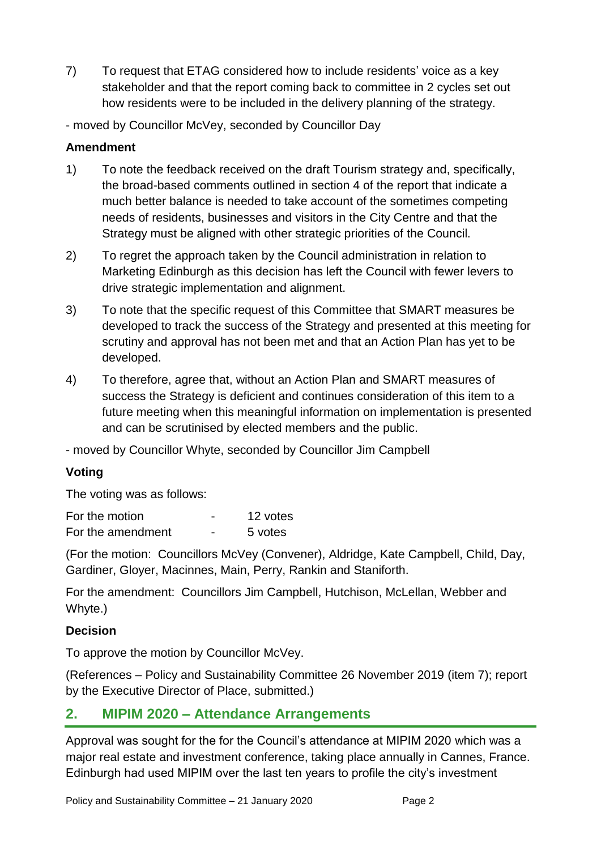- 7) To request that ETAG considered how to include residents' voice as a key stakeholder and that the report coming back to committee in 2 cycles set out how residents were to be included in the delivery planning of the strategy.
- moved by Councillor McVey, seconded by Councillor Day

#### **Amendment**

- 1) To note the feedback received on the draft Tourism strategy and, specifically, the broad-based comments outlined in section 4 of the report that indicate a much better balance is needed to take account of the sometimes competing needs of residents, businesses and visitors in the City Centre and that the Strategy must be aligned with other strategic priorities of the Council.
- 2) To regret the approach taken by the Council administration in relation to Marketing Edinburgh as this decision has left the Council with fewer levers to drive strategic implementation and alignment.
- 3) To note that the specific request of this Committee that SMART measures be developed to track the success of the Strategy and presented at this meeting for scrutiny and approval has not been met and that an Action Plan has yet to be developed.
- 4) To therefore, agree that, without an Action Plan and SMART measures of success the Strategy is deficient and continues consideration of this item to a future meeting when this meaningful information on implementation is presented and can be scrutinised by elected members and the public.

- moved by Councillor Whyte, seconded by Councillor Jim Campbell

#### **Voting**

The voting was as follows:

| For the motion    |   | 12 votes |
|-------------------|---|----------|
| For the amendment | - | 5 votes  |

(For the motion: Councillors McVey (Convener), Aldridge, Kate Campbell, Child, Day, Gardiner, Gloyer, Macinnes, Main, Perry, Rankin and Staniforth.

For the amendment: Councillors Jim Campbell, Hutchison, McLellan, Webber and Whyte.)

#### **Decision**

To approve the motion by Councillor McVey.

(References – Policy and Sustainability Committee 26 November 2019 (item 7); report by the Executive Director of Place, submitted.)

#### **2. MIPIM 2020 – Attendance Arrangements**

Approval was sought for the for the Council's attendance at MIPIM 2020 which was a major real estate and investment conference, taking place annually in Cannes, France. Edinburgh had used MIPIM over the last ten years to profile the city's investment